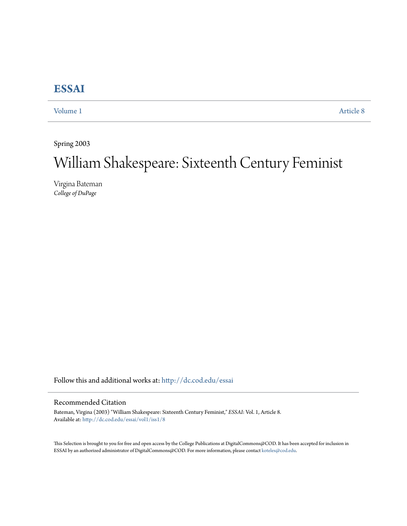## **[ESSAI](http://dc.cod.edu/essai?utm_source=dc.cod.edu%2Fessai%2Fvol1%2Fiss1%2F8&utm_medium=PDF&utm_campaign=PDFCoverPages)**

[Volume 1](http://dc.cod.edu/essai/vol1?utm_source=dc.cod.edu%2Fessai%2Fvol1%2Fiss1%2F8&utm_medium=PDF&utm_campaign=PDFCoverPages) [Article 8](http://dc.cod.edu/essai/vol1/iss1/8?utm_source=dc.cod.edu%2Fessai%2Fvol1%2Fiss1%2F8&utm_medium=PDF&utm_campaign=PDFCoverPages)

Spring 2003

# William Shakespeare: Sixteenth Century Feminist

Virgina Bateman *College of DuPage*

Follow this and additional works at: [http://dc.cod.edu/essai](http://dc.cod.edu/essai?utm_source=dc.cod.edu%2Fessai%2Fvol1%2Fiss1%2F8&utm_medium=PDF&utm_campaign=PDFCoverPages)

### Recommended Citation

Bateman, Virgina (2003) "William Shakespeare: Sixteenth Century Feminist," *ESSAI*: Vol. 1, Article 8. Available at: [http://dc.cod.edu/essai/vol1/iss1/8](http://dc.cod.edu/essai/vol1/iss1/8?utm_source=dc.cod.edu%2Fessai%2Fvol1%2Fiss1%2F8&utm_medium=PDF&utm_campaign=PDFCoverPages)

This Selection is brought to you for free and open access by the College Publications at DigitalCommons@COD. It has been accepted for inclusion in ESSAI by an authorized administrator of DigitalCommons@COD. For more information, please contact [koteles@cod.edu](mailto:koteles@cod.edu).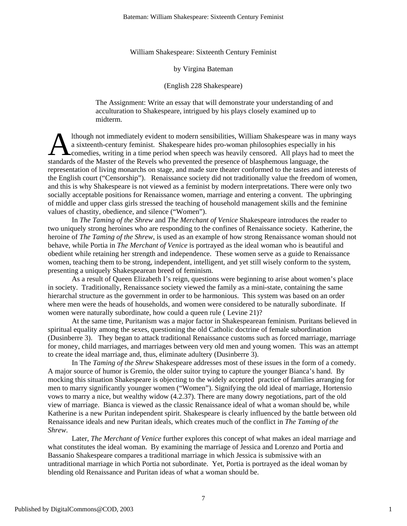William Shakespeare: Sixteenth Century Feminist

#### by Virgina Bateman

#### (English 228 Shakespeare)

The Assignment: Write an essay that will demonstrate your understanding of and acculturation to Shakespeare, intrigued by his plays closely examined up to midterm.

lthough not immediately evident to modern sensibilities, William Shakespeare was in many ways a sixteenth-century feminist. Shakespeare hides pro-woman philosophies especially in his comedies, writing in a time period when speech was heavily censored. All plays had to meet the Ithough not immediately evident to modern sensibilities, William Shakespeare was in ma<br>a sixteenth-century feminist. Shakespeare hides pro-woman philosophies especially in h<br>comedies, writing in a time period when speech w representation of living monarchs on stage, and made sure theater conformed to the tastes and interests of the English court ("Censorship"). Renaissance society did not traditionally value the freedom of women, and this is why Shakespeare is not viewed as a feminist by modern interpretations. There were only two socially acceptable positions for Renaissance women, marriage and entering a convent. The upbringing of middle and upper class girls stressed the teaching of household management skills and the feminine values of chastity, obedience, and silence ("Women").

In *The Taming of the Shrew* and *The Merchant of Venice* Shakespeare introduces the reader to two uniquely strong heroines who are responding to the confines of Renaissance society. Katherine, the heroine of *The Taming of the Shrew*, is used as an example of how strong Renaissance woman should not behave, while Portia in *The Merchant of Venice* is portrayed as the ideal woman who is beautiful and obedient while retaining her strength and independence. These women serve as a guide to Renaissance women, teaching them to be strong, independent, intelligent, and yet still wisely conform to the system, presenting a uniquely Shakespearean breed of feminism.

As a result of Queen Elizabeth I's reign, questions were beginning to arise about women's place in society. Traditionally, Renaissance society viewed the family as a mini-state, containing the same hierarchal structure as the government in order to be harmonious. This system was based on an order where men were the heads of households, and women were considered to be naturally subordinate. If women were naturally subordinate, how could a queen rule ( Levine 21)?

At the same time, Puritanism was a major factor in Shakespearean feminism. Puritans believed in spiritual equality among the sexes, questioning the old Catholic doctrine of female subordination (Dusinberre 3). They began to attack traditional Renaissance customs such as forced marriage, marriage for money, child marriages, and marriages between very old men and young women. This was an attempt to create the ideal marriage and, thus, eliminate adultery (Dusinberre 3).

In The *Taming of the Shrew* Shakespeare addresses most of these issues in the form of a comedy. A major source of humor is Gremio, the older suitor trying to capture the younger Bianca's hand. By mocking this situation Shakespeare is objecting to the widely accepted practice of families arranging for men to marry significantly younger women ("Women"). Signifying the old ideal of marriage, Hortensio vows to marry a nice, but wealthy widow (4.2.37). There are many dowry negotiations, part of the old view of marriage. Bianca is viewed as the classic Renaissance ideal of what a woman should be, while Katherine is a new Puritan independent spirit. Shakespeare is clearly influenced by the battle between old Renaissance ideals and new Puritan ideals, which creates much of the conflict in *The Taming of the Shrew*.

Later, *The Merchant of Venice* further explores this concept of what makes an ideal marriage and what constitutes the ideal woman. By examining the marriage of Jessica and Lorenzo and Portia and Bassanio Shakespeare compares a traditional marriage in which Jessica is submissive with an untraditional marriage in which Portia not subordinate. Yet, Portia is portrayed as the ideal woman by blending old Renaissance and Puritan ideas of what a woman should be.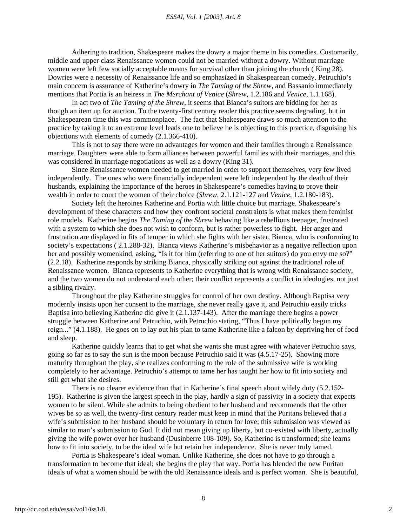#### *ESSAI, Vol. 1 [2003], Art. 8*

Adhering to tradition, Shakespeare makes the dowry a major theme in his comedies. Customarily, middle and upper class Renaissance women could not be married without a dowry. Without marriage women were left few socially acceptable means for survival other than joining the church (King 28). Dowries were a necessity of Renaissance life and so emphasized in Shakespearean comedy. Petruchio's main concern is assurance of Katherine's dowry in *The Taming of the Shrew*, and Bassanio immediately mentions that Portia is an heiress in *The Merchant of Venice* (*Shrew*, 1.2.186 and *Venice*, 1.1.168).

In act two of *The Taming of the Shrew*, it seems that Bianca's suitors are bidding for her as though an item up for auction. To the twenty-first century reader this practice seems degrading, but in Shakespearean time this was commonplace. The fact that Shakespeare draws so much attention to the practice by taking it to an extreme level leads one to believe he is objecting to this practice, disguising his objections with elements of comedy (2.1.366-410).

This is not to say there were no advantages for women and their families through a Renaissance marriage. Daughters were able to form alliances between powerful families with their marriages, and this was considered in marriage negotiations as well as a dowry (King 31).

Since Renaissance women needed to get married in order to support themselves, very few lived independently. The ones who were financially independent were left independent by the death of their husbands, explaining the importance of the heroes in Shakespeare's comedies having to prove their wealth in order to court the women of their choice (*Shrew*, 2.1.121-127 and *Venice*, 1.2.180-183).

Society left the heroines Katherine and Portia with little choice but marriage. Shakespeare's development of these characters and how they confront societal constraints is what makes them feminist role models. Katherine begins *The Taming of the Shrew* behaving like a rebellious teenager, frustrated with a system to which she does not wish to conform, but is rather powerless to fight. Her anger and frustration are displayed in fits of temper in which she fights with her sister, Bianca, who is conforming to society's expectations ( 2.1.288-32). Bianca views Katherine's misbehavior as a negative reflection upon her and possibly womenkind, asking, "Is it for him (referring to one of her suitors) do you envy me so?" (2.2.18). Katherine responds by striking Bianca, physically striking out against the traditional role of Renaissance women. Bianca represents to Katherine everything that is wrong with Renaissance society, and the two women do not understand each other; their conflict represents a conflict in ideologies, not just a sibling rivalry.

Throughout the play Katherine struggles for control of her own destiny. Although Baptisa very modernly insists upon her consent to the marriage, she never really gave it, and Petruchio easily tricks Baptisa into believing Katherine did give it (2.1.137-143). After the marriage there begins a power struggle between Katherine and Petruchio, with Petruchio stating, "Thus I have politically begun my reign..." (4.1.188). He goes on to lay out his plan to tame Katherine like a falcon by depriving her of food and sleep.

Katherine quickly learns that to get what she wants she must agree with whatever Petruchio says, going so far as to say the sun is the moon because Petruchio said it was (4.5.17-25). Showing more maturity throughout the play, she realizes conforming to the role of the submissive wife is working completely to her advantage. Petruchio's attempt to tame her has taught her how to fit into society and still get what she desires.

There is no clearer evidence than that in Katherine's final speech about wifely duty (5.2.152- 195). Katherine is given the largest speech in the play, hardly a sign of passivity in a society that expects women to be silent. While she admits to being obedient to her husband and recommends that the other wives be so as well, the twenty-first century reader must keep in mind that the Puritans believed that a wife's submission to her husband should be voluntary in return for love; this submission was viewed as similar to man's submission to God. It did not mean giving up liberty, but co-existed with liberty, actually giving the wife power over her husband (Dusinberre 108-109). So, Katherine is transformed; she learns how to fit into society, to be the ideal wife but retain her independence. She is never truly tamed.

Portia is Shakespeare's ideal woman. Unlike Katherine, she does not have to go through a transformation to become that ideal; she begins the play that way. Portia has blended the new Puritan ideals of what a women should be with the old Renaissance ideals and is perfect woman. She is beautiful,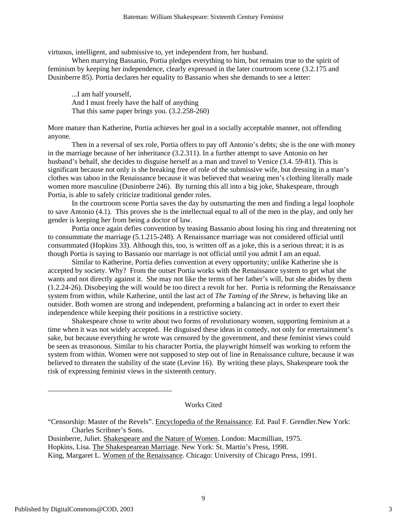virtuous, intelligent, and submissive to, yet independent from, her husband.

When marrying Bassanio, Portia pledges everything to him, but remains true to the spirit of feminism by keeping her independence, clearly expressed in the later courtroom scene (3.2.175 and Dusinberre 85). Portia declares her equality to Bassanio when she demands to see a letter:

...I am half yourself, And I must freely have the half of anything That this same paper brings you. (3.2.258-260)

More mature than Katherine, Portia achieves her goal in a socially acceptable manner, not offending anyone.

Then in a reversal of sex role, Portia offers to pay off Antonio's debts; she is the one with money in the marriage because of her inheritance (3.2.311). In a further attempt to save Antonio on her husband's behalf, she decides to disguise herself as a man and travel to Venice (3.4. 59-81). This is significant because not only is she breaking free of role of the submissive wife, but dressing in a man's clothes was taboo in the Renaissance because it was believed that wearing men's clothing literally made women more masculine (Dusinberre 246). By turning this all into a big joke, Shakespeare, through Portia, is able to safely criticize traditional gender roles.

In the courtroom scene Portia saves the day by outsmarting the men and finding a legal loophole to save Antonio (4.1). This proves she is the intellectual equal to all of the men in the play, and only her gender is keeping her from being a doctor of law.

Portia once again defies convention by teasing Bassanio about losing his ring and threatening not to consummate the marriage (5.1.215-248). A Renaissance marriage was not considered official until consummated (Hopkins 33). Although this, too, is written off as a joke, this is a serious threat; it is as though Portia is saying to Bassanio our marriage is not official until you admit I am an equal.

Similar to Katherine, Portia defies convention at every opportunity; unlike Katherine she is accepted by society. Why? From the outset Portia works with the Renaissance system to get what she wants and not directly against it. She may not like the terms of her father's will, but she abides by them (1.2.24-26). Disobeying the will would be too direct a revolt for her. Portia is reforming the Renaissance system from within, while Katherine, until the last act of *The Taming of the Shrew*, is behaving like an outsider. Both women are strong and independent, preforming a balancing act in order to exert their independence while keeping their positions in a restrictive society.

Shakespeare chose to write about two forms of revolutionary women, supporting feminism at a time when it was not widely accepted. He disguised these ideas in comedy, not only for entertainment's sake, but because everything he wrote was censored by the government, and these feminist views could be seen as treasonous. Similar to his character Portia, the playwright himself was working to reform the system from within. Women were not supposed to step out of line in Renaissance culture, because it was believed to threaten the stability of the state (Levine 16). By writing these plays, Shakespeare took the risk of expressing feminist views in the sixteenth century.

Works Cited

Dusinberre, Juliet. Shakespeare and the Nature of Women. London: Macmillian, 1975.

Hopkins, Lisa. The Shakespearean Marriage. New York: St. Martin's Press, 1998.

King, Margaret L. Women of the Renaissance. Chicago: University of Chicago Press, 1991.

\_\_\_\_\_\_\_\_\_\_\_\_\_\_\_\_\_\_\_\_\_\_\_\_\_\_\_\_\_\_\_\_\_\_

<sup>&</sup>quot;Censorship: Master of the Revels". Encyclopedia of the Renaissance. Ed. Paul F. Grendler.New York: Charles Scribner's Sons.